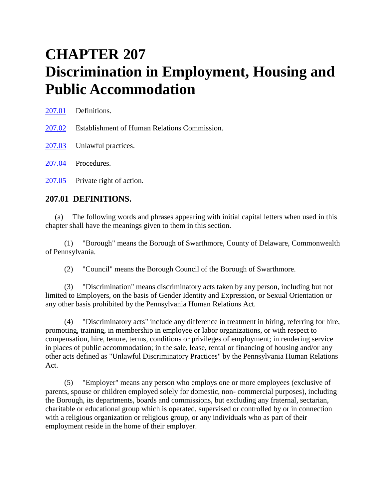# **CHAPTER 207 Discrimination in Employment, Housing and Public Accommodation**

[207.01](http://www.amlegal.com/nxt/gateway.dll?f=id$id=Swarthmore,%20PA%20Code%20of%20Ordinances%3Ar%3A3201$cid=pennsylvania$t=document-frame.htm$an=JD_207.01$3.0#JD_207.01) Definitions. [207.02](http://www.amlegal.com/nxt/gateway.dll?f=id$id=Swarthmore,%20PA%20Code%20of%20Ordinances%3Ar%3A3201$cid=pennsylvania$t=document-frame.htm$an=JD_207.02$3.0#JD_207.02) Establishment of Human Relations Commission. [207.03](http://www.amlegal.com/nxt/gateway.dll?f=id$id=Swarthmore,%20PA%20Code%20of%20Ordinances%3Ar%3A3201$cid=pennsylvania$t=document-frame.htm$an=JD_207.03$3.0#JD_207.03) Unlawful practices. [207.04](http://www.amlegal.com/nxt/gateway.dll?f=id$id=Swarthmore,%20PA%20Code%20of%20Ordinances%3Ar%3A3201$cid=pennsylvania$t=document-frame.htm$an=JD_207.04$3.0#JD_207.04) Procedures. [207.05](http://www.amlegal.com/nxt/gateway.dll?f=id$id=Swarthmore,%20PA%20Code%20of%20Ordinances%3Ar%3A3201$cid=pennsylvania$t=document-frame.htm$an=JD_207.05$3.0#JD_207.05) Private right of action.

## **207.01 DEFINITIONS.**

(a) The following words and phrases appearing with initial capital letters when used in this chapter shall have the meanings given to them in this section.

 (1) "Borough" means the Borough of Swarthmore, County of Delaware, Commonwealth of Pennsylvania.

(2) "Council" means the Borough Council of the Borough of Swarthmore.

 (3) "Discrimination" means discriminatory acts taken by any person, including but not limited to Employers, on the basis of Gender Identity and Expression, or Sexual Orientation or any other basis prohibited by the Pennsylvania Human Relations Act.

 (4) "Discriminatory acts" include any difference in treatment in hiring, referring for hire, promoting, training, in membership in employee or labor organizations, or with respect to compensation, hire, tenure, terms, conditions or privileges of employment; in rendering service in places of public accommodation; in the sale, lease, rental or financing of housing and/or any other acts defined as "Unlawful Discriminatory Practices" by the Pennsylvania Human Relations Act.

 (5) "Employer" means any person who employs one or more employees (exclusive of parents, spouse or children employed solely for domestic, non- commercial purposes), including the Borough, its departments, boards and commissions, but excluding any fraternal, sectarian, charitable or educational group which is operated, supervised or controlled by or in connection with a religious organization or religious group, or any individuals who as part of their employment reside in the home of their employer.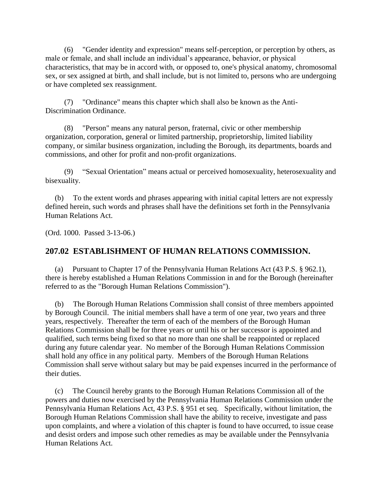(6) "Gender identity and expression" means self-perception, or perception by others, as male or female, and shall include an individual's appearance, behavior, or physical characteristics, that may be in accord with, or opposed to, one's physical anatomy, chromosomal sex, or sex assigned at birth, and shall include, but is not limited to, persons who are undergoing or have completed sex reassignment.

 (7) "Ordinance" means this chapter which shall also be known as the Anti-Discrimination Ordinance.

 (8) "Person" means any natural person, fraternal, civic or other membership organization, corporation, general or limited partnership, proprietorship, limited liability company, or similar business organization, including the Borough, its departments, boards and commissions, and other for profit and non-profit organizations.

 (9) "Sexual Orientation" means actual or perceived homosexuality, heterosexuality and bisexuality.

(b) To the extent words and phrases appearing with initial capital letters are not expressly defined herein, such words and phrases shall have the definitions set forth in the Pennsylvania Human Relations Act.

(Ord. 1000. Passed 3-13-06.)

## **207.02 ESTABLISHMENT OF HUMAN RELATIONS COMMISSION.**

(a) Pursuant to Chapter 17 of the Pennsylvania Human Relations Act (43 P.S. § 962.1), there is hereby established a Human Relations Commission in and for the Borough (hereinafter referred to as the "Borough Human Relations Commission").

(b) The Borough Human Relations Commission shall consist of three members appointed by Borough Council. The initial members shall have a term of one year, two years and three years, respectively. Thereafter the term of each of the members of the Borough Human Relations Commission shall be for three years or until his or her successor is appointed and qualified, such terms being fixed so that no more than one shall be reappointed or replaced during any future calendar year. No member of the Borough Human Relations Commission shall hold any office in any political party. Members of the Borough Human Relations Commission shall serve without salary but may be paid expenses incurred in the performance of their duties.

(c) The Council hereby grants to the Borough Human Relations Commission all of the powers and duties now exercised by the Pennsylvania Human Relations Commission under the Pennsylvania Human Relations Act, 43 P.S. § 951 et seq. Specifically, without limitation, the Borough Human Relations Commission shall have the ability to receive, investigate and pass upon complaints, and where a violation of this chapter is found to have occurred, to issue cease and desist orders and impose such other remedies as may be available under the Pennsylvania Human Relations Act.